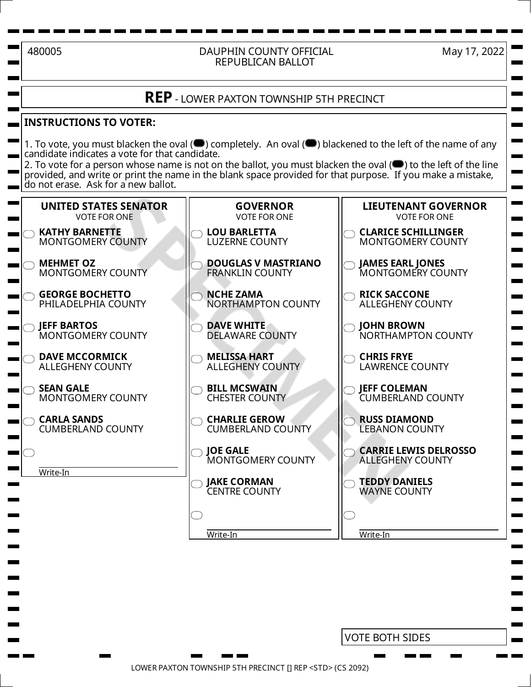## 480005 DAUPHIN COUNTY OFFICIAL REPUBLICAN BALLOT

May 17, 2022

## **REP** - LOWER PAXTON TOWNSHIP 5TH PRECINCT **INSTRUCTIONS TO VOTER:** 1. To vote, you must blacken the oval (<sup>1</sup>) completely. An oval (<sup>2</sup>) blackened to the left of the name of any candidate indicates a vote for that candidate. 2. To vote for a person whose name is not on the ballot, you must blacken the oval  $($ **)** to the left of the line provided, and write or print the name in the blank space provided for that purpose. If you make a mistake, do not erase. Ask for a new ballot. **UNITED STATES SENATOR GOVERNOR LIEUTENANT GOVERNOR** VOTE FOR ONE VOTE FOR ONE VOTE FOR ONE **KATHY BARNETTE CLARICE SCHILLINGER LOU BARLETTA** MONTGOMERY COUNTY LUZERNE COUNTY MONTGOMERY COUNTY **MEHMET OZ DOUGLAS V MASTRIANO JAMES EARL JONES** MONTGOMERY COUNTY FRANKLIN COUNTY MONTGOMERY COUNTY **RICK SACCONE GEORGE BOCHETTO NCHE ZAMA** PHILADELPHIA COUNTY NORTHAMPTON COUNTY ALLEGHENY COUNTY **JEFF BARTOS DAVE WHITE JOHN BROWN** MONTGOMERY COUNTY DELAWARE COUNTY NORTHAMPTON COUNTY  $\neg$  **DAVE MCCORMICK MELISSA HART CHRIS FRYE** ALLEGHENY COUNTY ALLEGHENY COUNTY LAWRENCE COUNTY **SEAN GALE BILL MCSWAIN JEFF COLEMAN** MONTGOMERY COUNTY CHESTER COUNTY CUMBERLAND COUNTY **CARLA SANDS RUSS DIAMOND CHARLIE GEROW** CUMBERLAND COUNTY CUMBERLAND COUNTY LEBANON COUNTY **JOE GALE CARRIE LEWIS DELROSSO** MONTGOMERY COUNTY ALLEGHENY COUNTY Write-In **JAKE CORMAN TEDDY DANIELS** CENTRE COUNTY WAYNE COUNTY ◯ Write-In Write-In

VOTE BOTH SIDES